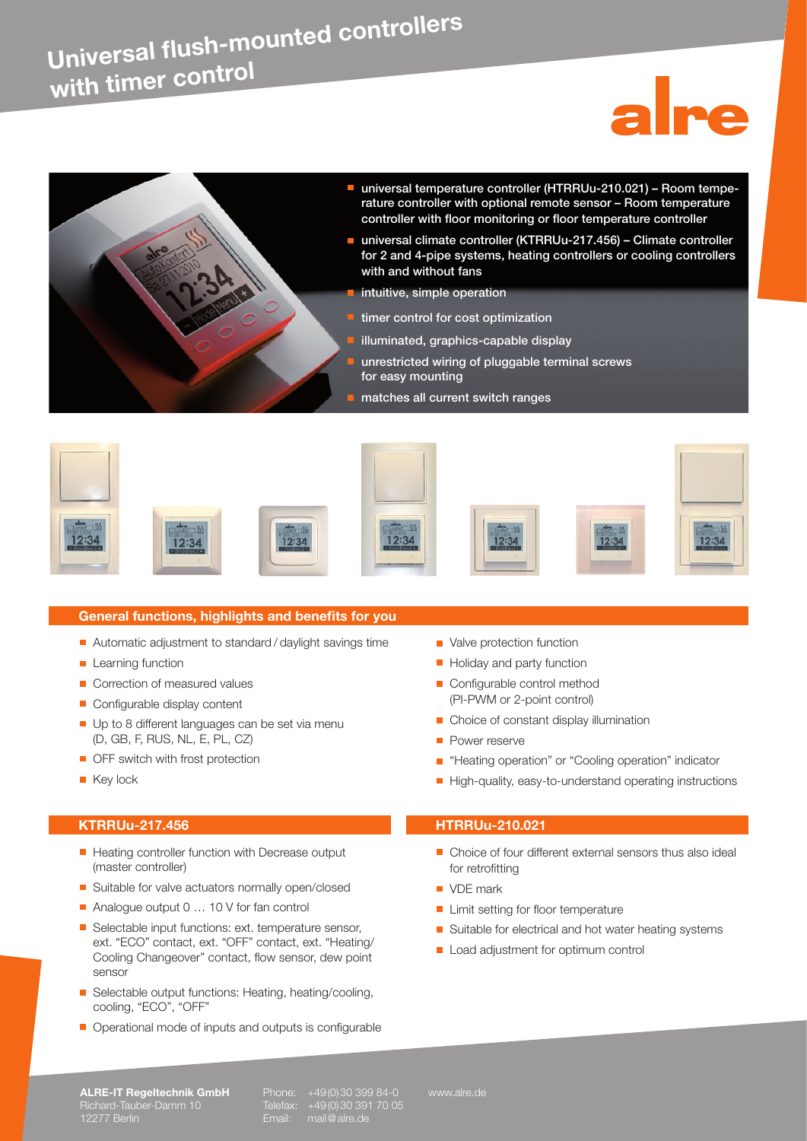## **Universal flush-mounted controllers with timer contro<sup>l</sup>**















### **General functions, highlights and benefits for you**

 $12:34$ 

- Automatic adjustment to standard / daylight savings time
- **Learning function**
- Correction of measured values
- Configurable display content
- Up to 8 different languages can be set via menu (D, GB, F, RUS, NL, E, PL, CZ)
- **OFF** switch with frost protection
- **Key lock**

## **KTRRUu-217.456 HTRRUu-210.021**

- Heating controller function with Decrease output (master controller)
- **Buitable for valve actuators normally open/closed**
- Analogue output 0 ... 10 V for fan control
- Selectable input functions: ext. temperature sensor, ext. "ECO" contact, ext. "OFF" contact, ext. "Heating/ Cooling Changeover" contact, flow sensor, dew point sensor
- Selectable output functions: Heating, heating/cooling, cooling, "ECO", "OFF"
- Operational mode of inputs and outputs is configurable
- Valve protection function
- Holiday and party function
- Configurable control method (PI-PWM or 2-point control)
- Choice of constant display illumination
- **Power reserve**
- **Heating operation" or "Cooling operation" indicator**
- High-quality, easy-to-understand operating instructions

- Choice of four different external sensors thus also ideal for retrofitting
- **VDE** mark
- **Limit setting for floor temperature**
- Suitable for electrical and hot water heating systems
- Load adjustment for optimum control

**ALRE-IT Regeltechnik GmbH** Phone: +49(0)30 399 84-0 www.alre.de<br>Richard-Tauber-Damm 10 Telefax: +49(0)30 391 70 05<br>12277 Berlin **Christian Community Community Community Community Community Community Community Community Co** Richard-Tauber-Damm 10 Telefax: +49(0)30 391 70 05 12277 Berlin Email: mail@alre.de